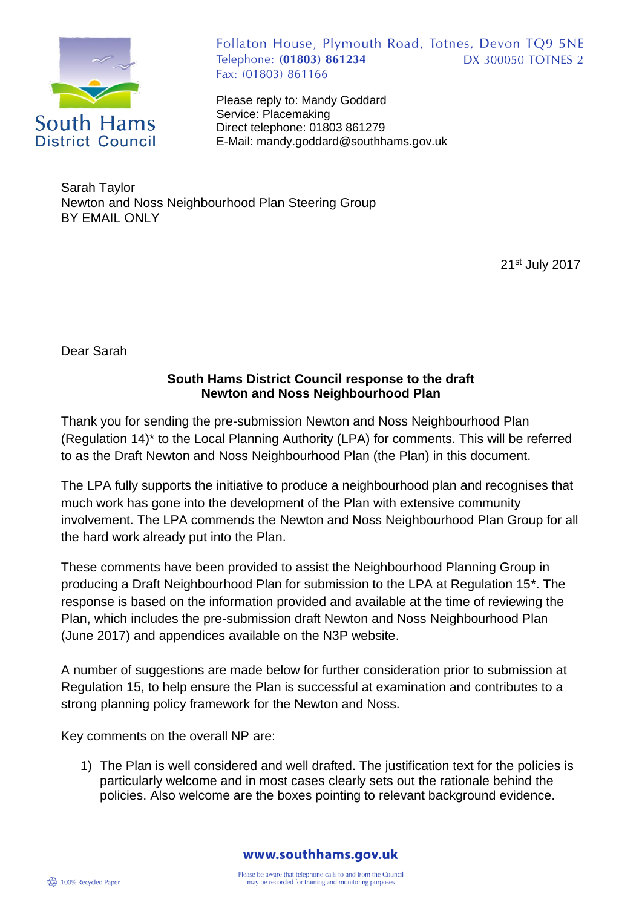

Follaton House, Plymouth Road, Totnes, Devon TQ9 5NE Telephone: (01803) 861234 **DX 300050 TOTNES 2** Fax: (01803) 861166

Please reply to: Mandy Goddard Service: Placemaking Direct telephone: 01803 861279 E-Mail: mandy.goddard@southhams.gov.uk

Sarah Taylor Newton and Noss Neighbourhood Plan Steering Group BY EMAIL ONLY

21st July 2017

Dear Sarah

## **South Hams District Council response to the draft Newton and Noss Neighbourhood Plan**

Thank you for sending the pre-submission Newton and Noss Neighbourhood Plan (Regulation 14)\* to the Local Planning Authority (LPA) for comments. This will be referred to as the Draft Newton and Noss Neighbourhood Plan (the Plan) in this document.

The LPA fully supports the initiative to produce a neighbourhood plan and recognises that much work has gone into the development of the Plan with extensive community involvement. The LPA commends the Newton and Noss Neighbourhood Plan Group for all the hard work already put into the Plan.

These comments have been provided to assist the Neighbourhood Planning Group in producing a Draft Neighbourhood Plan for submission to the LPA at Regulation 15\*. The response is based on the information provided and available at the time of reviewing the Plan, which includes the pre-submission draft Newton and Noss Neighbourhood Plan (June 2017) and appendices available on the N3P website.

A number of suggestions are made below for further consideration prior to submission at Regulation 15, to help ensure the Plan is successful at examination and contributes to a strong planning policy framework for the Newton and Noss.

Key comments on the overall NP are:

1) The Plan is well considered and well drafted. The justification text for the policies is particularly welcome and in most cases clearly sets out the rationale behind the policies. Also welcome are the boxes pointing to relevant background evidence.

www.southhams.gov.uk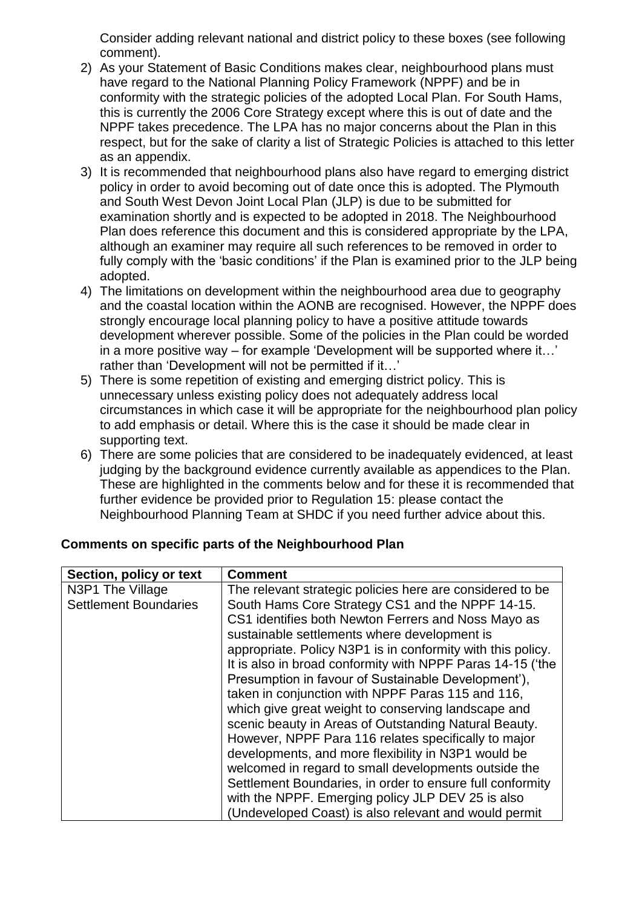Consider adding relevant national and district policy to these boxes (see following comment).

- 2) As your Statement of Basic Conditions makes clear, neighbourhood plans must have regard to the National Planning Policy Framework (NPPF) and be in conformity with the strategic policies of the adopted Local Plan. For South Hams, this is currently the 2006 Core Strategy except where this is out of date and the NPPF takes precedence. The LPA has no major concerns about the Plan in this respect, but for the sake of clarity a list of Strategic Policies is attached to this letter as an appendix.
- 3) It is recommended that neighbourhood plans also have regard to emerging district policy in order to avoid becoming out of date once this is adopted. The Plymouth and South West Devon Joint Local Plan (JLP) is due to be submitted for examination shortly and is expected to be adopted in 2018. The Neighbourhood Plan does reference this document and this is considered appropriate by the LPA, although an examiner may require all such references to be removed in order to fully comply with the 'basic conditions' if the Plan is examined prior to the JLP being adopted.
- 4) The limitations on development within the neighbourhood area due to geography and the coastal location within the AONB are recognised. However, the NPPF does strongly encourage local planning policy to have a positive attitude towards development wherever possible. Some of the policies in the Plan could be worded in a more positive way – for example 'Development will be supported where it…' rather than 'Development will not be permitted if it…'
- 5) There is some repetition of existing and emerging district policy. This is unnecessary unless existing policy does not adequately address local circumstances in which case it will be appropriate for the neighbourhood plan policy to add emphasis or detail. Where this is the case it should be made clear in supporting text.
- 6) There are some policies that are considered to be inadequately evidenced, at least judging by the background evidence currently available as appendices to the Plan. These are highlighted in the comments below and for these it is recommended that further evidence be provided prior to Regulation 15: please contact the Neighbourhood Planning Team at SHDC if you need further advice about this.

| Section, policy or text      | <b>Comment</b>                                              |
|------------------------------|-------------------------------------------------------------|
| N3P1 The Village             | The relevant strategic policies here are considered to be   |
| <b>Settlement Boundaries</b> | South Hams Core Strategy CS1 and the NPPF 14-15.            |
|                              | CS1 identifies both Newton Ferrers and Noss Mayo as         |
|                              | sustainable settlements where development is                |
|                              | appropriate. Policy N3P1 is in conformity with this policy. |
|                              | It is also in broad conformity with NPPF Paras 14-15 ('the  |
|                              | Presumption in favour of Sustainable Development'),         |
|                              | taken in conjunction with NPPF Paras 115 and 116,           |
|                              | which give great weight to conserving landscape and         |
|                              | scenic beauty in Areas of Outstanding Natural Beauty.       |
|                              | However, NPPF Para 116 relates specifically to major        |
|                              | developments, and more flexibility in N3P1 would be         |
|                              | welcomed in regard to small developments outside the        |
|                              | Settlement Boundaries, in order to ensure full conformity   |
|                              | with the NPPF. Emerging policy JLP DEV 25 is also           |
|                              | (Undeveloped Coast) is also relevant and would permit       |

## **Comments on specific parts of the Neighbourhood Plan**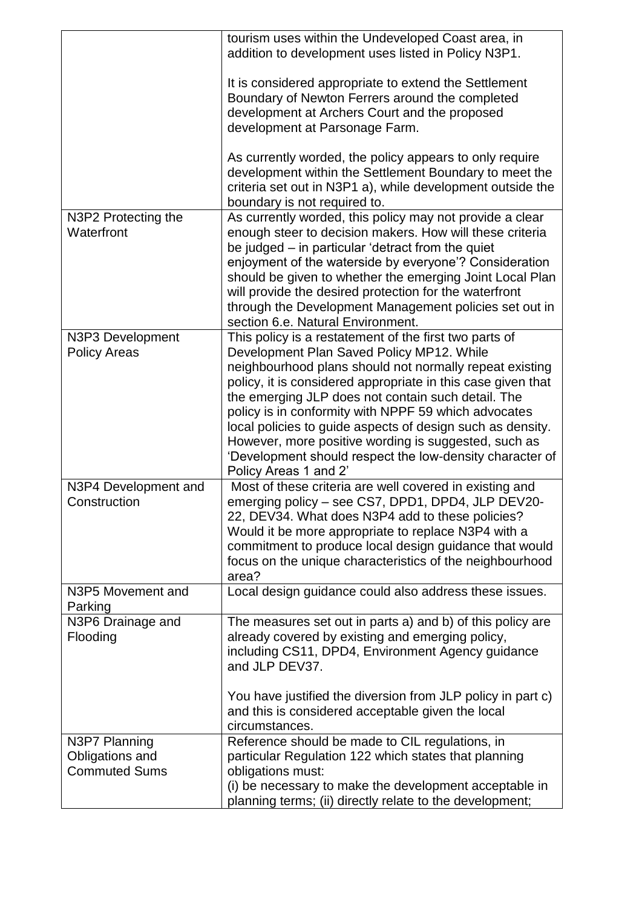|                                                          | tourism uses within the Undeveloped Coast area, in<br>addition to development uses listed in Policy N3P1.                                                                                                                                                                                                                                                                                                                                                                                                                                               |
|----------------------------------------------------------|---------------------------------------------------------------------------------------------------------------------------------------------------------------------------------------------------------------------------------------------------------------------------------------------------------------------------------------------------------------------------------------------------------------------------------------------------------------------------------------------------------------------------------------------------------|
|                                                          | It is considered appropriate to extend the Settlement<br>Boundary of Newton Ferrers around the completed<br>development at Archers Court and the proposed<br>development at Parsonage Farm.                                                                                                                                                                                                                                                                                                                                                             |
|                                                          | As currently worded, the policy appears to only require<br>development within the Settlement Boundary to meet the<br>criteria set out in N3P1 a), while development outside the<br>boundary is not required to.                                                                                                                                                                                                                                                                                                                                         |
| N3P2 Protecting the<br>Waterfront                        | As currently worded, this policy may not provide a clear<br>enough steer to decision makers. How will these criteria<br>be judged – in particular 'detract from the quiet<br>enjoyment of the waterside by everyone'? Consideration<br>should be given to whether the emerging Joint Local Plan<br>will provide the desired protection for the waterfront<br>through the Development Management policies set out in<br>section 6.e. Natural Environment.                                                                                                |
| N3P3 Development<br><b>Policy Areas</b>                  | This policy is a restatement of the first two parts of<br>Development Plan Saved Policy MP12. While<br>neighbourhood plans should not normally repeat existing<br>policy, it is considered appropriate in this case given that<br>the emerging JLP does not contain such detail. The<br>policy is in conformity with NPPF 59 which advocates<br>local policies to guide aspects of design such as density.<br>However, more positive wording is suggested, such as<br>'Development should respect the low-density character of<br>Policy Areas 1 and 2' |
| N3P4 Development and<br>Construction                     | Most of these criteria are well covered in existing and<br>emerging policy - see CS7, DPD1, DPD4, JLP DEV20-<br>22, DEV34. What does N3P4 add to these policies?<br>Would it be more appropriate to replace N3P4 with a<br>commitment to produce local design guidance that would<br>focus on the unique characteristics of the neighbourhood<br>area?                                                                                                                                                                                                  |
| N3P5 Movement and<br>Parking                             | Local design quidance could also address these issues.                                                                                                                                                                                                                                                                                                                                                                                                                                                                                                  |
| N3P6 Drainage and<br>Flooding                            | The measures set out in parts a) and b) of this policy are<br>already covered by existing and emerging policy,<br>including CS11, DPD4, Environment Agency guidance<br>and JLP DEV37.<br>You have justified the diversion from JLP policy in part c)                                                                                                                                                                                                                                                                                                    |
|                                                          | and this is considered acceptable given the local<br>circumstances.                                                                                                                                                                                                                                                                                                                                                                                                                                                                                     |
| N3P7 Planning<br>Obligations and<br><b>Commuted Sums</b> | Reference should be made to CIL regulations, in<br>particular Regulation 122 which states that planning<br>obligations must:<br>(i) be necessary to make the development acceptable in<br>planning terms; (ii) directly relate to the development;                                                                                                                                                                                                                                                                                                      |
|                                                          |                                                                                                                                                                                                                                                                                                                                                                                                                                                                                                                                                         |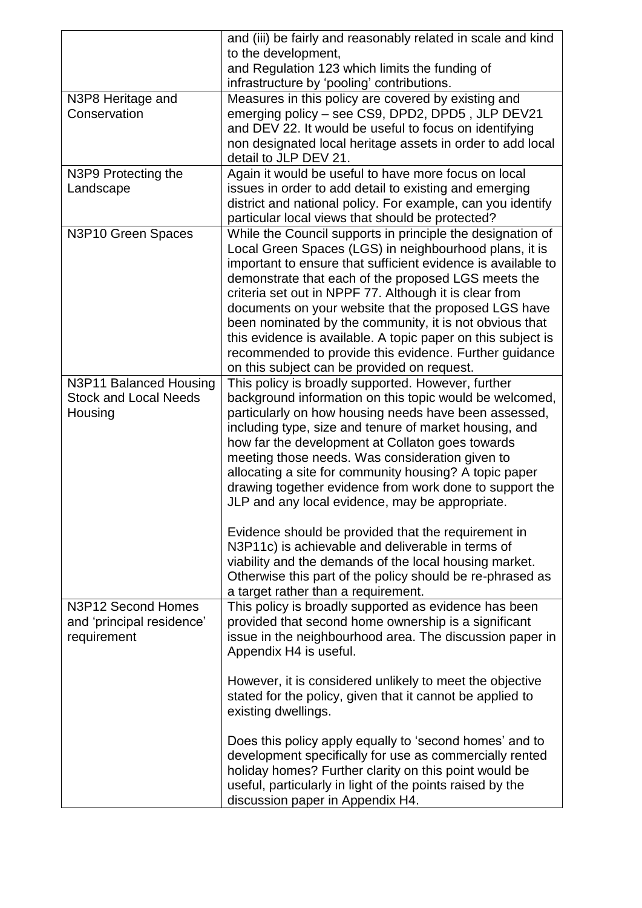| to the development,<br>and Regulation 123 which limits the funding of<br>infrastructure by 'pooling' contributions.<br>Measures in this policy are covered by existing and<br>N3P8 Heritage and<br>emerging policy - see CS9, DPD2, DPD5, JLP DEV21<br>Conservation<br>and DEV 22. It would be useful to focus on identifying<br>non designated local heritage assets in order to add local<br>detail to JLP DEV 21.<br>Again it would be useful to have more focus on local<br>N3P9 Protecting the<br>issues in order to add detail to existing and emerging<br>Landscape |
|----------------------------------------------------------------------------------------------------------------------------------------------------------------------------------------------------------------------------------------------------------------------------------------------------------------------------------------------------------------------------------------------------------------------------------------------------------------------------------------------------------------------------------------------------------------------------|
|                                                                                                                                                                                                                                                                                                                                                                                                                                                                                                                                                                            |
|                                                                                                                                                                                                                                                                                                                                                                                                                                                                                                                                                                            |
|                                                                                                                                                                                                                                                                                                                                                                                                                                                                                                                                                                            |
|                                                                                                                                                                                                                                                                                                                                                                                                                                                                                                                                                                            |
|                                                                                                                                                                                                                                                                                                                                                                                                                                                                                                                                                                            |
|                                                                                                                                                                                                                                                                                                                                                                                                                                                                                                                                                                            |
|                                                                                                                                                                                                                                                                                                                                                                                                                                                                                                                                                                            |
|                                                                                                                                                                                                                                                                                                                                                                                                                                                                                                                                                                            |
|                                                                                                                                                                                                                                                                                                                                                                                                                                                                                                                                                                            |
|                                                                                                                                                                                                                                                                                                                                                                                                                                                                                                                                                                            |
| district and national policy. For example, can you identify                                                                                                                                                                                                                                                                                                                                                                                                                                                                                                                |
| particular local views that should be protected?                                                                                                                                                                                                                                                                                                                                                                                                                                                                                                                           |
| While the Council supports in principle the designation of<br>N3P10 Green Spaces                                                                                                                                                                                                                                                                                                                                                                                                                                                                                           |
| Local Green Spaces (LGS) in neighbourhood plans, it is                                                                                                                                                                                                                                                                                                                                                                                                                                                                                                                     |
| important to ensure that sufficient evidence is available to                                                                                                                                                                                                                                                                                                                                                                                                                                                                                                               |
| demonstrate that each of the proposed LGS meets the                                                                                                                                                                                                                                                                                                                                                                                                                                                                                                                        |
| criteria set out in NPPF 77. Although it is clear from                                                                                                                                                                                                                                                                                                                                                                                                                                                                                                                     |
| documents on your website that the proposed LGS have                                                                                                                                                                                                                                                                                                                                                                                                                                                                                                                       |
| been nominated by the community, it is not obvious that                                                                                                                                                                                                                                                                                                                                                                                                                                                                                                                    |
| this evidence is available. A topic paper on this subject is                                                                                                                                                                                                                                                                                                                                                                                                                                                                                                               |
|                                                                                                                                                                                                                                                                                                                                                                                                                                                                                                                                                                            |
| recommended to provide this evidence. Further guidance                                                                                                                                                                                                                                                                                                                                                                                                                                                                                                                     |
| on this subject can be provided on request.                                                                                                                                                                                                                                                                                                                                                                                                                                                                                                                                |
| N3P11 Balanced Housing<br>This policy is broadly supported. However, further<br><b>Stock and Local Needs</b>                                                                                                                                                                                                                                                                                                                                                                                                                                                               |
| background information on this topic would be welcomed,                                                                                                                                                                                                                                                                                                                                                                                                                                                                                                                    |
| Housing<br>particularly on how housing needs have been assessed,                                                                                                                                                                                                                                                                                                                                                                                                                                                                                                           |
| including type, size and tenure of market housing, and                                                                                                                                                                                                                                                                                                                                                                                                                                                                                                                     |
| how far the development at Collaton goes towards                                                                                                                                                                                                                                                                                                                                                                                                                                                                                                                           |
| meeting those needs. Was consideration given to                                                                                                                                                                                                                                                                                                                                                                                                                                                                                                                            |
| allocating a site for community housing? A topic paper                                                                                                                                                                                                                                                                                                                                                                                                                                                                                                                     |
| drawing together evidence from work done to support the                                                                                                                                                                                                                                                                                                                                                                                                                                                                                                                    |
| JLP and any local evidence, may be appropriate.                                                                                                                                                                                                                                                                                                                                                                                                                                                                                                                            |
|                                                                                                                                                                                                                                                                                                                                                                                                                                                                                                                                                                            |
| Evidence should be provided that the requirement in                                                                                                                                                                                                                                                                                                                                                                                                                                                                                                                        |
| N3P11c) is achievable and deliverable in terms of                                                                                                                                                                                                                                                                                                                                                                                                                                                                                                                          |
| viability and the demands of the local housing market.                                                                                                                                                                                                                                                                                                                                                                                                                                                                                                                     |
| Otherwise this part of the policy should be re-phrased as                                                                                                                                                                                                                                                                                                                                                                                                                                                                                                                  |
| a target rather than a requirement.                                                                                                                                                                                                                                                                                                                                                                                                                                                                                                                                        |
| This policy is broadly supported as evidence has been<br>N3P12 Second Homes                                                                                                                                                                                                                                                                                                                                                                                                                                                                                                |
| provided that second home ownership is a significant<br>and 'principal residence'                                                                                                                                                                                                                                                                                                                                                                                                                                                                                          |
| issue in the neighbourhood area. The discussion paper in<br>requirement                                                                                                                                                                                                                                                                                                                                                                                                                                                                                                    |
| Appendix H4 is useful.                                                                                                                                                                                                                                                                                                                                                                                                                                                                                                                                                     |
|                                                                                                                                                                                                                                                                                                                                                                                                                                                                                                                                                                            |
| However, it is considered unlikely to meet the objective                                                                                                                                                                                                                                                                                                                                                                                                                                                                                                                   |
| stated for the policy, given that it cannot be applied to                                                                                                                                                                                                                                                                                                                                                                                                                                                                                                                  |
|                                                                                                                                                                                                                                                                                                                                                                                                                                                                                                                                                                            |
| existing dwellings.                                                                                                                                                                                                                                                                                                                                                                                                                                                                                                                                                        |
|                                                                                                                                                                                                                                                                                                                                                                                                                                                                                                                                                                            |
| Does this policy apply equally to 'second homes' and to                                                                                                                                                                                                                                                                                                                                                                                                                                                                                                                    |
| development specifically for use as commercially rented                                                                                                                                                                                                                                                                                                                                                                                                                                                                                                                    |
| holiday homes? Further clarity on this point would be                                                                                                                                                                                                                                                                                                                                                                                                                                                                                                                      |
| useful, particularly in light of the points raised by the                                                                                                                                                                                                                                                                                                                                                                                                                                                                                                                  |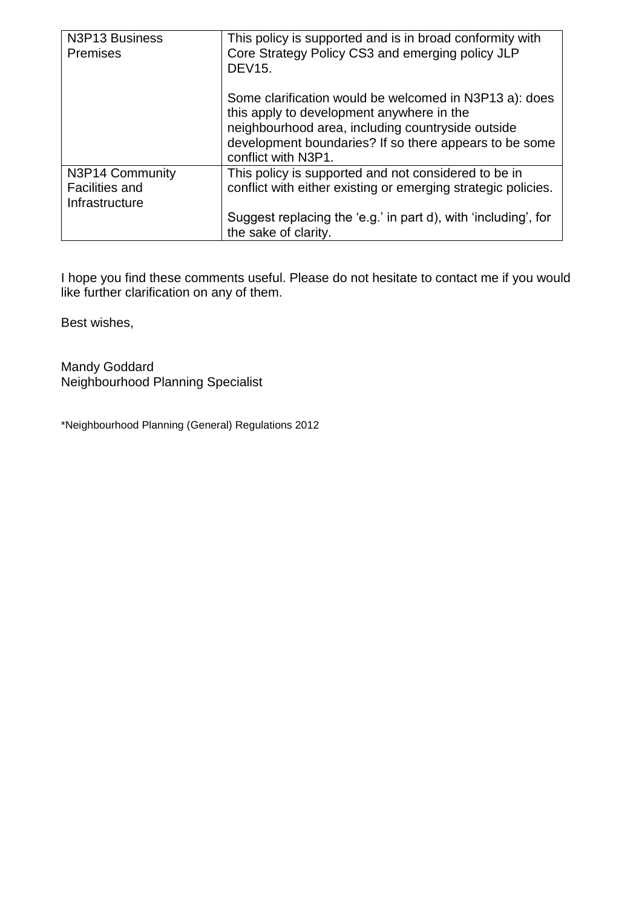| N3P13 Business<br><b>Premises</b>                          | This policy is supported and is in broad conformity with<br>Core Strategy Policy CS3 and emerging policy JLP<br><b>DEV15.</b>                                                                                                             |
|------------------------------------------------------------|-------------------------------------------------------------------------------------------------------------------------------------------------------------------------------------------------------------------------------------------|
|                                                            | Some clarification would be welcomed in N3P13 a): does<br>this apply to development anywhere in the<br>neighbourhood area, including countryside outside<br>development boundaries? If so there appears to be some<br>conflict with N3P1. |
| N3P14 Community<br><b>Facilities and</b><br>Infrastructure | This policy is supported and not considered to be in<br>conflict with either existing or emerging strategic policies.                                                                                                                     |
|                                                            | Suggest replacing the 'e.g.' in part d), with 'including', for<br>the sake of clarity.                                                                                                                                                    |

I hope you find these comments useful. Please do not hesitate to contact me if you would like further clarification on any of them.

Best wishes,

Mandy Goddard Neighbourhood Planning Specialist

\*Neighbourhood Planning (General) Regulations 2012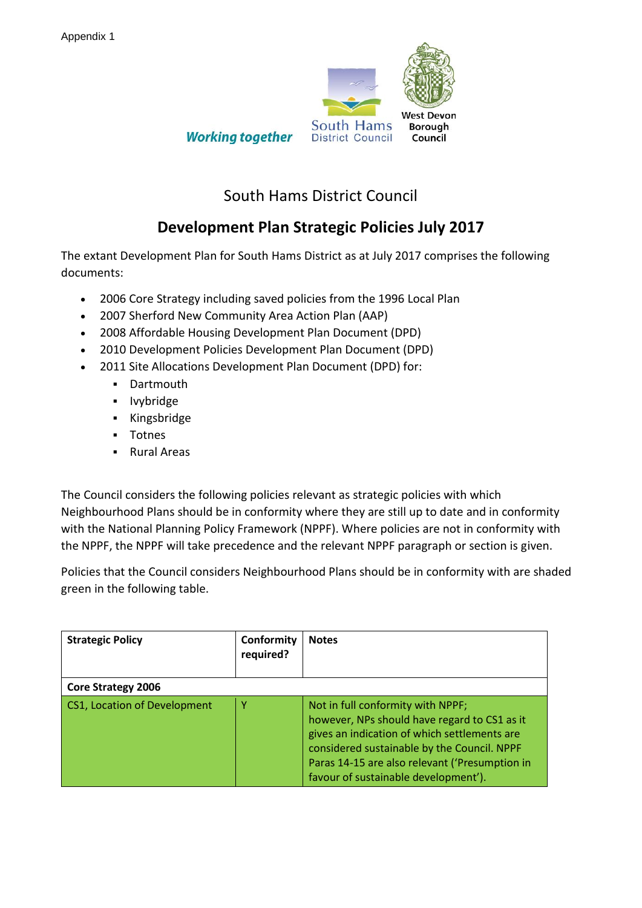

**Working together** 

## South Hams District Council

## **Development Plan Strategic Policies July 2017**

The extant Development Plan for South Hams District as at July 2017 comprises the following documents:

- 2006 Core Strategy including saved policies from the 1996 Local Plan
- 2007 Sherford New Community Area Action Plan (AAP)
- 2008 Affordable Housing Development Plan Document (DPD)
- 2010 Development Policies Development Plan Document (DPD)
- 2011 Site Allocations Development Plan Document (DPD) for:
	- **•** Dartmouth
	- **Ivybridge**
	- **-** Kingsbridge
	- **-** Totnes
	- **Rural Areas**

The Council considers the following policies relevant as strategic policies with which Neighbourhood Plans should be in conformity where they are still up to date and in conformity with the National Planning Policy Framework (NPPF). Where policies are not in conformity with the NPPF, the NPPF will take precedence and the relevant NPPF paragraph or section is given.

Policies that the Council considers Neighbourhood Plans should be in conformity with are shaded green in the following table.

| <b>Strategic Policy</b>      | Conformity<br>required? | <b>Notes</b>                                                                                                                                                                                                                                                               |
|------------------------------|-------------------------|----------------------------------------------------------------------------------------------------------------------------------------------------------------------------------------------------------------------------------------------------------------------------|
| Core Strategy 2006           |                         |                                                                                                                                                                                                                                                                            |
| CS1, Location of Development |                         | Not in full conformity with NPPF;<br>however, NPs should have regard to CS1 as it<br>gives an indication of which settlements are<br>considered sustainable by the Council. NPPF<br>Paras 14-15 are also relevant ('Presumption in<br>favour of sustainable development'). |